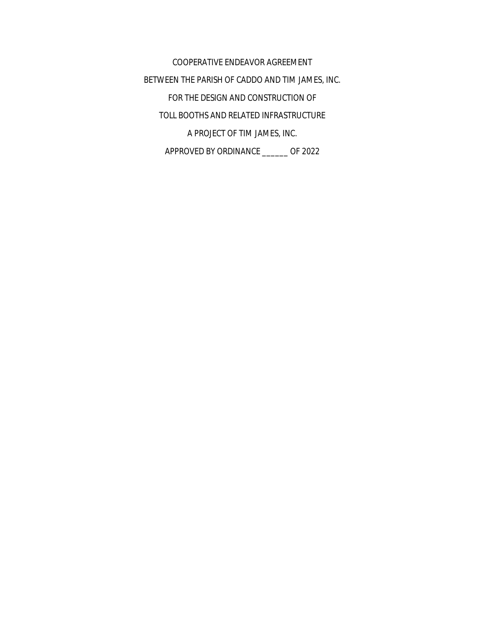COOPERATIVE ENDEAVOR AGREEMENT BETWEEN THE PARISH OF CADDO AND TIM JAMES, INC. FOR THE DESIGN AND CONSTRUCTION OF TOLL BOOTHS AND RELATED INFRASTRUCTURE A PROJECT OF TIM JAMES, INC. APPROVED BY ORDINANCE \_\_\_\_\_\_ OF 2022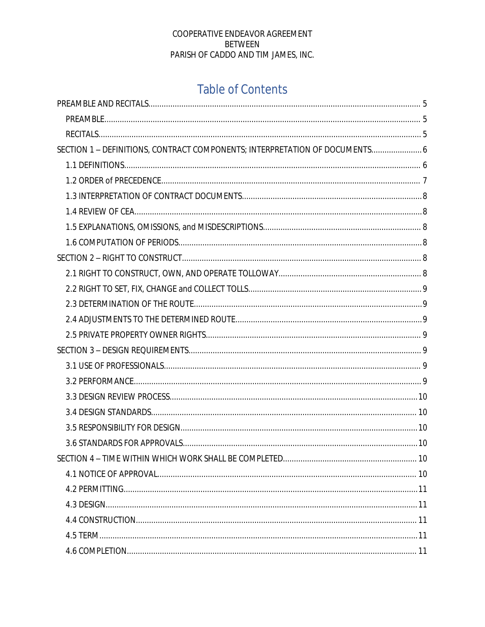# **Table of Contents**

| SECTION 1 - DEFINITIONS, CONTRACT COMPONENTS; INTERPRETATION OF DOCUMENTS 6 |  |
|-----------------------------------------------------------------------------|--|
|                                                                             |  |
|                                                                             |  |
|                                                                             |  |
|                                                                             |  |
|                                                                             |  |
|                                                                             |  |
|                                                                             |  |
|                                                                             |  |
|                                                                             |  |
|                                                                             |  |
|                                                                             |  |
|                                                                             |  |
|                                                                             |  |
|                                                                             |  |
|                                                                             |  |
|                                                                             |  |
|                                                                             |  |
|                                                                             |  |
|                                                                             |  |
|                                                                             |  |
|                                                                             |  |
|                                                                             |  |
|                                                                             |  |
|                                                                             |  |
|                                                                             |  |
|                                                                             |  |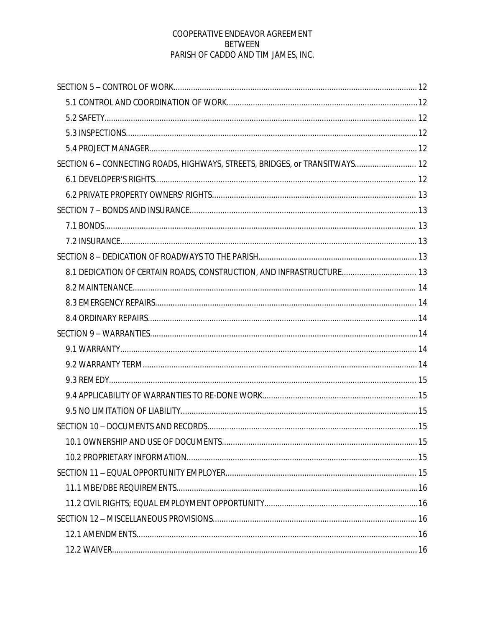| SECTION 6 - CONNECTING ROADS, HIGHWAYS, STREETS, BRIDGES, or TRANSITWAYS 12 |  |
|-----------------------------------------------------------------------------|--|
|                                                                             |  |
|                                                                             |  |
|                                                                             |  |
|                                                                             |  |
|                                                                             |  |
|                                                                             |  |
| 8.1 DEDICATION OF CERTAIN ROADS, CONSTRUCTION, AND INFRASTRUCTURE 13        |  |
|                                                                             |  |
|                                                                             |  |
|                                                                             |  |
|                                                                             |  |
|                                                                             |  |
|                                                                             |  |
|                                                                             |  |
|                                                                             |  |
|                                                                             |  |
|                                                                             |  |
|                                                                             |  |
|                                                                             |  |
|                                                                             |  |
|                                                                             |  |
|                                                                             |  |
|                                                                             |  |
|                                                                             |  |
|                                                                             |  |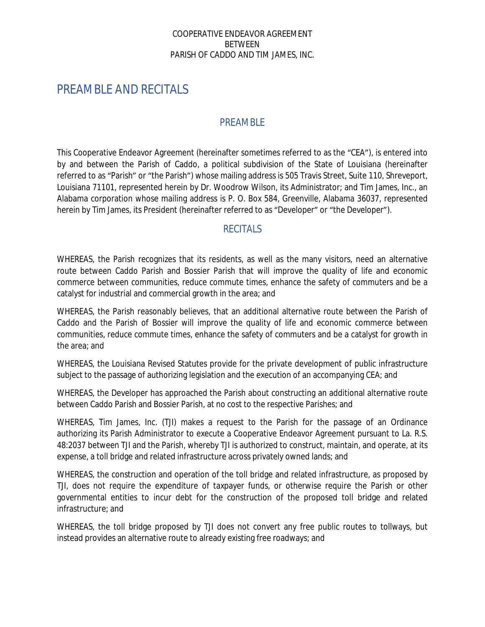# <span id="page-4-0"></span>PREAMBLE AND RECITALS

#### <span id="page-4-1"></span>PREAMBLE

This Cooperative Endeavor Agreement (hereinafter sometimes referred to as the "CEA"), is entered into by and between the Parish of Caddo, a political subdivision of the State of Louisiana (hereinafter referred to as "Parish" or "the Parish") whose mailing address is 505 Travis Street, Suite 110, Shreveport, Louisiana 71101, represented herein by Dr. Woodrow Wilson, its Administrator; and Tim James, Inc., an Alabama corporation whose mailing address is P. O. Box 584, Greenville, Alabama 36037, represented herein by Tim James, its President (hereinafter referred to as "Developer" or "the Developer").

#### <span id="page-4-2"></span>**RECITALS**

WHEREAS, the Parish recognizes that its residents, as well as the many visitors, need an alternative route between Caddo Parish and Bossier Parish that will improve the quality of life and economic commerce between communities, reduce commute times, enhance the safety of commuters and be a catalyst for industrial and commercial growth in the area; and

WHEREAS, the Parish reasonably believes, that an additional alternative route between the Parish of Caddo and the Parish of Bossier will improve the quality of life and economic commerce between communities, reduce commute times, enhance the safety of commuters and be a catalyst for growth in the area; and

WHEREAS, the Louisiana Revised Statutes provide for the private development of public infrastructure subject to the passage of authorizing legislation and the execution of an accompanying CEA; and

WHEREAS, the Developer has approached the Parish about constructing an additional alternative route between Caddo Parish and Bossier Parish, at no cost to the respective Parishes; and

WHEREAS, Tim James, Inc. (TJI) makes a request to the Parish for the passage of an Ordinance authorizing its Parish Administrator to execute a Cooperative Endeavor Agreement pursuant to La. R.S. 48:2037 between TJI and the Parish, whereby TJI is authorized to construct, maintain, and operate, at its expense, a toll bridge and related infrastructure across privately owned lands; and

WHEREAS, the construction and operation of the toll bridge and related infrastructure, as proposed by TJI, does not require the expenditure of taxpayer funds, or otherwise require the Parish or other governmental entities to incur debt for the construction of the proposed toll bridge and related infrastructure; and

WHEREAS, the toll bridge proposed by TJI does not convert any free public routes to tollways, but instead provides an alternative route to already existing free roadways; and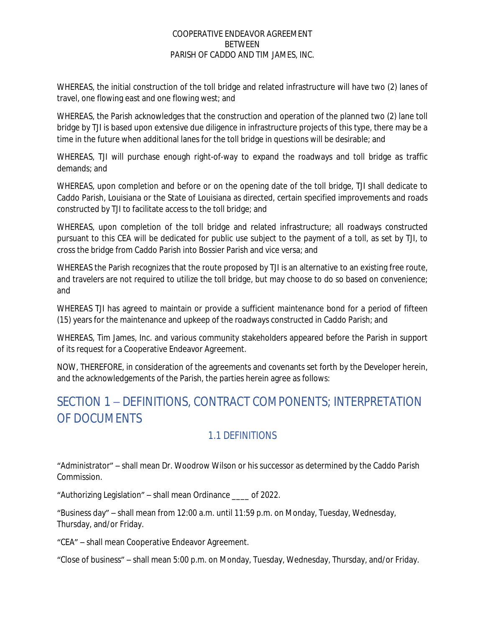WHEREAS, the initial construction of the toll bridge and related infrastructure will have two (2) lanes of travel, one flowing east and one flowing west; and

WHEREAS, the Parish acknowledges that the construction and operation of the planned two (2) lane toll bridge by TJI is based upon extensive due diligence in infrastructure projects of this type, there may be a time in the future when additional lanes for the toll bridge in questions will be desirable; and

WHEREAS, TJI will purchase enough right-of-way to expand the roadways and toll bridge as traffic demands; and

WHEREAS, upon completion and before or on the opening date of the toll bridge, TJI shall dedicate to Caddo Parish, Louisiana or the State of Louisiana as directed, certain specified improvements and roads constructed by TJI to facilitate access to the toll bridge; and

WHEREAS, upon completion of the toll bridge and related infrastructure; all roadways constructed pursuant to this CEA will be dedicated for public use subject to the payment of a toll, as set by TJI, to cross the bridge from Caddo Parish into Bossier Parish and vice versa; and

WHEREAS the Parish recognizes that the route proposed by TJI is an alternative to an existing free route, and travelers are not required to utilize the toll bridge, but may choose to do so based on convenience; and

WHEREAS TJI has agreed to maintain or provide a sufficient maintenance bond for a period of fifteen (15) years for the maintenance and upkeep of the roadways constructed in Caddo Parish; and

WHEREAS, Tim James, Inc. and various community stakeholders appeared before the Parish in support of its request for a Cooperative Endeavor Agreement.

NOW, THEREFORE, in consideration of the agreements and covenants set forth by the Developer herein, and the acknowledgements of the Parish, the parties herein agree as follows:

# <span id="page-5-0"></span>SECTION 1 – DEFINITIONS, CONTRACT COMPONENTS; INTERPRETATION OF DOCUMENTS

# <span id="page-5-1"></span>1.1 DEFINITIONS

"Administrator" – shall mean Dr. Woodrow Wilson or his successor as determined by the Caddo Parish Commission.

"Authorizing Legislation" – shall mean Ordinance \_\_\_\_ of 2022.

"Business day" – shall mean from 12:00 a.m. until 11:59 p.m. on Monday, Tuesday, Wednesday, Thursday, and/or Friday.

"CEA" – shall mean Cooperative Endeavor Agreement.

"Close of business" – shall mean 5:00 p.m. on Monday, Tuesday, Wednesday, Thursday, and/or Friday.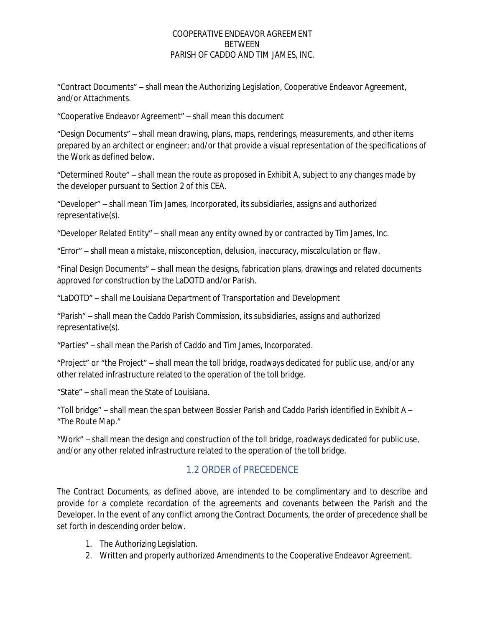"Contract Documents" – shall mean the Authorizing Legislation, Cooperative Endeavor Agreement, and/or Attachments.

"Cooperative Endeavor Agreement" – shall mean this document

"Design Documents" – shall mean drawing, plans, maps, renderings, measurements, and other items prepared by an architect or engineer; and/or that provide a visual representation of the specifications of the Work as defined below.

"Determined Route" – shall mean the route as proposed in Exhibit A, subject to any changes made by the developer pursuant to Section 2 of this CEA.

"Developer" – shall mean Tim James, Incorporated, its subsidiaries, assigns and authorized representative(s).

"Developer Related Entity" – shall mean any entity owned by or contracted by Tim James, Inc.

"Error" – shall mean a mistake, misconception, delusion, inaccuracy, miscalculation or flaw.

"Final Design Documents" – shall mean the designs, fabrication plans, drawings and related documents approved for construction by the LaDOTD and/or Parish.

"LaDOTD" – shall me Louisiana Department of Transportation and Development

"Parish" – shall mean the Caddo Parish Commission, its subsidiaries, assigns and authorized representative(s).

"Parties" – shall mean the Parish of Caddo and Tim James, Incorporated.

"Project" or "the Project" – shall mean the toll bridge, roadways dedicated for public use, and/or any other related infrastructure related to the operation of the toll bridge.

"State" – shall mean the State of Louisiana.

"Toll bridge" – shall mean the span between Bossier Parish and Caddo Parish identified in Exhibit A – "The Route Map."

"Work" – shall mean the design and construction of the toll bridge, roadways dedicated for public use, and/or any other related infrastructure related to the operation of the toll bridge.

## <span id="page-6-0"></span>1.2 ORDER of PRECEDENCE

The Contract Documents, as defined above, are intended to be complimentary and to describe and provide for a complete recordation of the agreements and covenants between the Parish and the Developer. In the event of any conflict among the Contract Documents, the order of precedence shall be set forth in descending order below.

- 1. The Authorizing Legislation.
- 2. Written and properly authorized Amendments to the Cooperative Endeavor Agreement.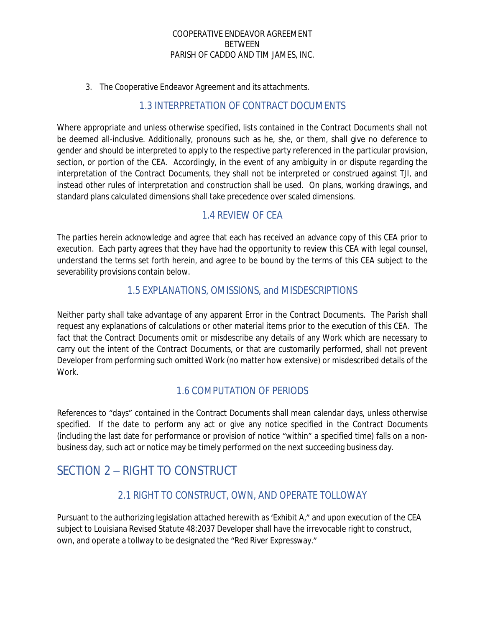3. The Cooperative Endeavor Agreement and its attachments.

### <span id="page-7-0"></span>1.3 INTERPRETATION OF CONTRACT DOCUMENTS

Where appropriate and unless otherwise specified, lists contained in the Contract Documents shall not be deemed all-inclusive. Additionally, pronouns such as he, she, or them, shall give no deference to gender and should be interpreted to apply to the respective party referenced in the particular provision, section, or portion of the CEA. Accordingly, in the event of any ambiguity in or dispute regarding the interpretation of the Contract Documents, they shall not be interpreted or construed against TJI, and instead other rules of interpretation and construction shall be used. On plans, working drawings, and standard plans calculated dimensions shall take precedence over scaled dimensions.

### <span id="page-7-1"></span>1.4 REVIEW OF CEA

The parties herein acknowledge and agree that each has received an advance copy of this CEA prior to execution. Each party agrees that they have had the opportunity to review this CEA with legal counsel, understand the terms set forth herein, and agree to be bound by the terms of this CEA subject to the severability provisions contain below.

### <span id="page-7-2"></span>1.5 EXPLANATIONS, OMISSIONS, and MISDESCRIPTIONS

Neither party shall take advantage of any apparent Error in the Contract Documents. The Parish shall request any explanations of calculations or other material items prior to the execution of this CEA. The fact that the Contract Documents omit or misdescribe any details of any Work which are necessary to carry out the intent of the Contract Documents, or that are customarily performed, shall not prevent Developer from performing such omitted Work (no matter how extensive) or misdescribed details of the Work.

### <span id="page-7-3"></span>1.6 COMPUTATION OF PERIODS

References to "days" contained in the Contract Documents shall mean calendar days, unless otherwise specified. If the date to perform any act or give any notice specified in the Contract Documents (including the last date for performance or provision of notice "within" a specified time) falls on a nonbusiness day, such act or notice may be timely performed on the next succeeding business day.

# <span id="page-7-4"></span>SECTION 2 – RIGHT TO CONSTRUCT

## <span id="page-7-5"></span>2.1 RIGHT TO CONSTRUCT, OWN, AND OPERATE TOLLOWAY

Pursuant to the authorizing legislation attached herewith as 'Exhibit A," and upon execution of the CEA subject to Louisiana Revised Statute 48:2037 Developer shall have the irrevocable right to construct, own, and operate a tollway to be designated the "Red River Expressway."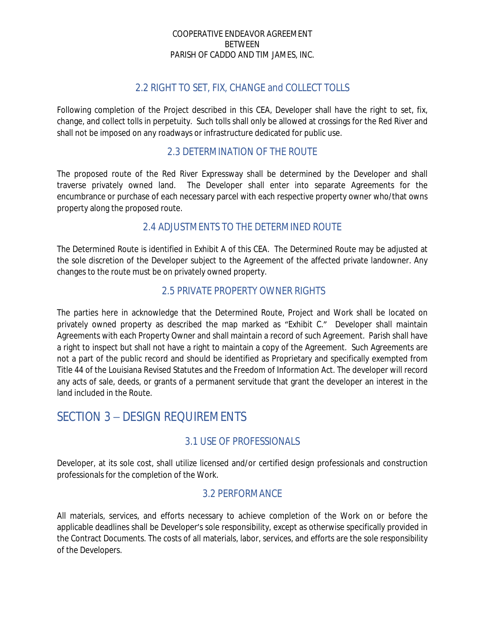### <span id="page-8-0"></span>2.2 RIGHT TO SET, FIX, CHANGE and COLLECT TOLLS

Following completion of the Project described in this CEA, Developer shall have the right to set, fix, change, and collect tolls in perpetuity. Such tolls shall only be allowed at crossings for the Red River and shall not be imposed on any roadways or infrastructure dedicated for public use.

### <span id="page-8-1"></span>2.3 DETERMINATION OF THE ROUTE

The proposed route of the Red River Expressway shall be determined by the Developer and shall traverse privately owned land. The Developer shall enter into separate Agreements for the encumbrance or purchase of each necessary parcel with each respective property owner who/that owns property along the proposed route.

## <span id="page-8-2"></span>2.4 ADJUSTMENTS TO THE DETERMINED ROUTE

The Determined Route is identified in Exhibit A of this CEA. The Determined Route may be adjusted at the sole discretion of the Developer subject to the Agreement of the affected private landowner. Any changes to the route must be on privately owned property.

### <span id="page-8-3"></span>2.5 PRIVATE PROPERTY OWNER RIGHTS

The parties here in acknowledge that the Determined Route, Project and Work shall be located on privately owned property as described the map marked as "Exhibit C." Developer shall maintain Agreements with each Property Owner and shall maintain a record of such Agreement. Parish shall have a right to inspect but shall not have a right to maintain a copy of the Agreement. Such Agreements are not a part of the public record and should be identified as Proprietary and specifically exempted from Title 44 of the Louisiana Revised Statutes and the Freedom of Information Act. The developer will record any acts of sale, deeds, or grants of a permanent servitude that grant the developer an interest in the land included in the Route.

# SECTION 3 – DESIGN REQUIREMENTS

### <span id="page-8-4"></span>3.1 USE OF PROFESSIONALS

Developer, at its sole cost, shall utilize licensed and/or certified design professionals and construction professionals for the completion of the Work.

### <span id="page-8-5"></span>3.2 PERFORMANCE

All materials, services, and efforts necessary to achieve completion of the Work on or before the applicable deadlines shall be Developer's sole responsibility, except as otherwise specifically provided in the Contract Documents. The costs of all materials, labor, services, and efforts are the sole responsibility of the Developers.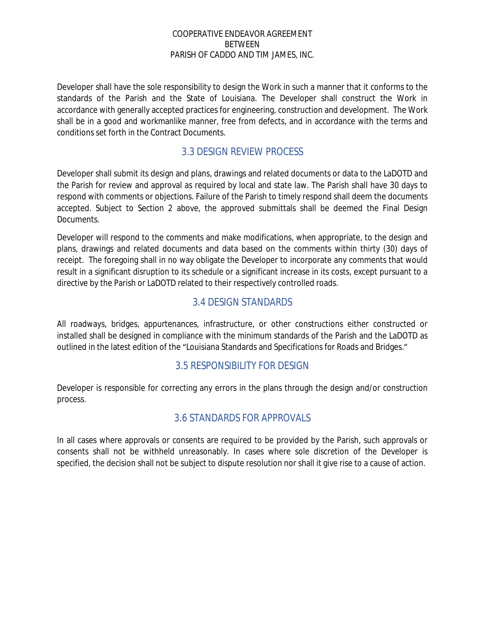Developer shall have the sole responsibility to design the Work in such a manner that it conforms to the standards of the Parish and the State of Louisiana. The Developer shall construct the Work in accordance with generally accepted practices for engineering, construction and development. The Work shall be in a good and workmanlike manner, free from defects, and in accordance with the terms and conditions set forth in the Contract Documents.

### <span id="page-9-0"></span>3.3 DESIGN REVIEW PROCESS

Developer shall submit its design and plans, drawings and related documents or data to the LaDOTD and the Parish for review and approval as required by local and state law. The Parish shall have 30 days to respond with comments or objections. Failure of the Parish to timely respond shall deem the documents accepted. Subject to Section 2 above, the approved submittals shall be deemed the Final Design Documents.

Developer will respond to the comments and make modifications, when appropriate, to the design and plans, drawings and related documents and data based on the comments within thirty (30) days of receipt. The foregoing shall in no way obligate the Developer to incorporate any comments that would result in a significant disruption to its schedule or a significant increase in its costs, except pursuant to a directive by the Parish or LaDOTD related to their respectively controlled roads.

### <span id="page-9-1"></span>3.4 DESIGN STANDARDS

All roadways, bridges, appurtenances, infrastructure, or other constructions either constructed or installed shall be designed in compliance with the minimum standards of the Parish and the LaDOTD as outlined in the latest edition of the "Louisiana Standards and Specifications for Roads and Bridges."

### <span id="page-9-2"></span>3.5 RESPONSIBILITY FOR DESIGN

Developer is responsible for correcting any errors in the plans through the design and/or construction process.

### <span id="page-9-3"></span>3.6 STANDARDS FOR APPROVALS

In all cases where approvals or consents are required to be provided by the Parish, such approvals or consents shall not be withheld unreasonably. In cases where sole discretion of the Developer is specified, the decision shall not be subject to dispute resolution nor shall it give rise to a cause of action.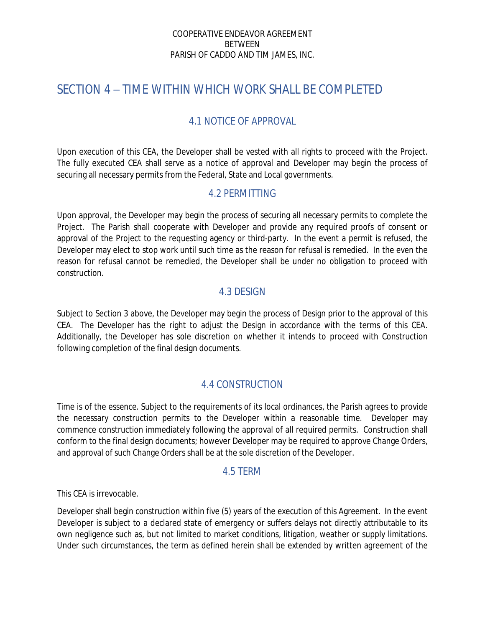# <span id="page-10-0"></span>SECTION 4 – TIME WITHIN WHICH WORK SHALL BE COMPLETED

## <span id="page-10-1"></span>4.1 NOTICE OF APPROVAL

Upon execution of this CEA, the Developer shall be vested with all rights to proceed with the Project. The fully executed CEA shall serve as a notice of approval and Developer may begin the process of securing all necessary permits from the Federal, State and Local governments.

### <span id="page-10-2"></span>4.2 PERMITTING

Upon approval, the Developer may begin the process of securing all necessary permits to complete the Project. The Parish shall cooperate with Developer and provide any required proofs of consent or approval of the Project to the requesting agency or third-party. In the event a permit is refused, the Developer may elect to stop work until such time as the reason for refusal is remedied. In the even the reason for refusal cannot be remedied, the Developer shall be under no obligation to proceed with construction.

### <span id="page-10-3"></span>4.3 DESIGN

Subject to Section 3 above, the Developer may begin the process of Design prior to the approval of this CEA. The Developer has the right to adjust the Design in accordance with the terms of this CEA. Additionally, the Developer has sole discretion on whether it intends to proceed with Construction following completion of the final design documents.

## <span id="page-10-4"></span>4.4 CONSTRUCTION

Time is of the essence. Subject to the requirements of its local ordinances, the Parish agrees to provide the necessary construction permits to the Developer within a reasonable time. Developer may commence construction immediately following the approval of all required permits. Construction shall conform to the final design documents; however Developer may be required to approve Change Orders, and approval of such Change Orders shall be at the sole discretion of the Developer.

#### <span id="page-10-5"></span>4.5 TERM

This CEA is irrevocable.

Developer shall begin construction within five (5) years of the execution of this Agreement. In the event Developer is subject to a declared state of emergency or suffers delays not directly attributable to its own negligence such as, but not limited to market conditions, litigation, weather or supply limitations. Under such circumstances, the term as defined herein shall be extended by written agreement of the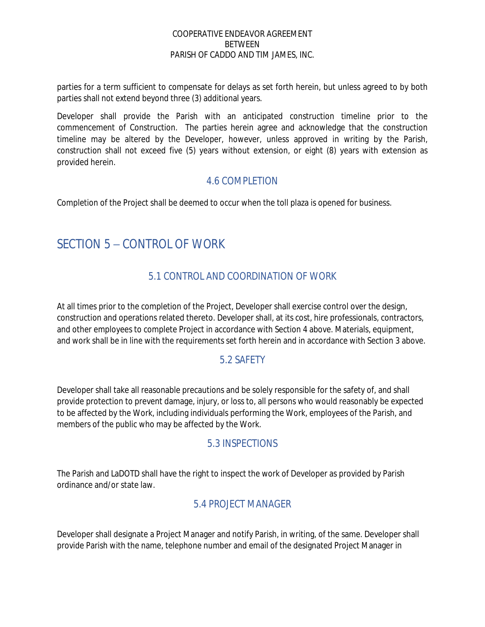parties for a term sufficient to compensate for delays as set forth herein, but unless agreed to by both parties shall not extend beyond three (3) additional years.

Developer shall provide the Parish with an anticipated construction timeline prior to the commencement of Construction. The parties herein agree and acknowledge that the construction timeline may be altered by the Developer, however, unless approved in writing by the Parish, construction shall not exceed five (5) years without extension, or eight (8) years with extension as provided herein.

## <span id="page-11-0"></span>4.6 COMPLETION

Completion of the Project shall be deemed to occur when the toll plaza is opened for business.

# <span id="page-11-1"></span>SECTION 5 – CONTROL OF WORK

# <span id="page-11-2"></span>5.1 CONTROL AND COORDINATION OF WORK

At all times prior to the completion of the Project, Developer shall exercise control over the design, construction and operations related thereto. Developer shall, at its cost, hire professionals, contractors, and other employees to complete Project in accordance with Section 4 above. Materials, equipment, and work shall be in line with the requirements set forth herein and in accordance with Section 3 above.

## <span id="page-11-3"></span>5.2 SAFETY

Developer shall take all reasonable precautions and be solely responsible for the safety of, and shall provide protection to prevent damage, injury, or loss to, all persons who would reasonably be expected to be affected by the Work, including individuals performing the Work, employees of the Parish, and members of the public who may be affected by the Work.

## <span id="page-11-4"></span>5.3 INSPECTIONS

The Parish and LaDOTD shall have the right to inspect the work of Developer as provided by Parish ordinance and/or state law.

## <span id="page-11-5"></span>5.4 PROJECT MANAGER

Developer shall designate a Project Manager and notify Parish, in writing, of the same. Developer shall provide Parish with the name, telephone number and email of the designated Project Manager in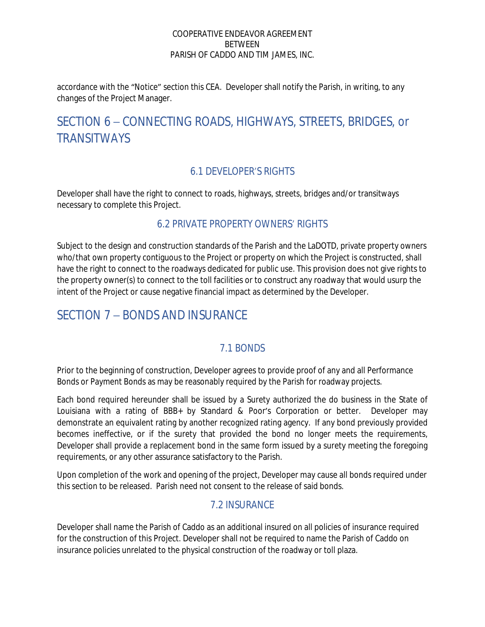accordance with the "Notice" section this CEA. Developer shall notify the Parish, in writing, to any changes of the Project Manager.

# <span id="page-12-0"></span>SECTION 6 – CONNECTING ROADS, HIGHWAYS, STREETS, BRIDGES, or **TRANSITWAYS**

# <span id="page-12-1"></span>6.1 DEVELOPER'S RIGHTS

Developer shall have the right to connect to roads, highways, streets, bridges and/or transitways necessary to complete this Project.

### <span id="page-12-2"></span>6.2 PRIVATE PROPERTY OWNERS' RIGHTS

Subject to the design and construction standards of the Parish and the LaDOTD, private property owners who/that own property contiguous to the Project or property on which the Project is constructed, shall have the right to connect to the roadways dedicated for public use. This provision does not give rights to the property owner(s) to connect to the toll facilities or to construct any roadway that would usurp the intent of the Project or cause negative financial impact as determined by the Developer.

# <span id="page-12-3"></span>SECTION 7 – BONDS AND INSURANCE

## <span id="page-12-4"></span>7.1 BONDS

Prior to the beginning of construction, Developer agrees to provide proof of any and all Performance Bonds or Payment Bonds as may be reasonably required by the Parish for roadway projects.

Each bond required hereunder shall be issued by a Surety authorized the do business in the State of Louisiana with a rating of BBB+ by Standard & Poor's Corporation or better. Developer may demonstrate an equivalent rating by another recognized rating agency. If any bond previously provided becomes ineffective, or if the surety that provided the bond no longer meets the requirements, Developer shall provide a replacement bond in the same form issued by a surety meeting the foregoing requirements, or any other assurance satisfactory to the Parish.

Upon completion of the work and opening of the project, Developer may cause all bonds required under this section to be released. Parish need not consent to the release of said bonds.

## <span id="page-12-5"></span>7.2 INSURANCE

Developer shall name the Parish of Caddo as an additional insured on all policies of insurance required for the construction of this Project. Developer shall not be required to name the Parish of Caddo on insurance policies unrelated to the physical construction of the roadway or toll plaza.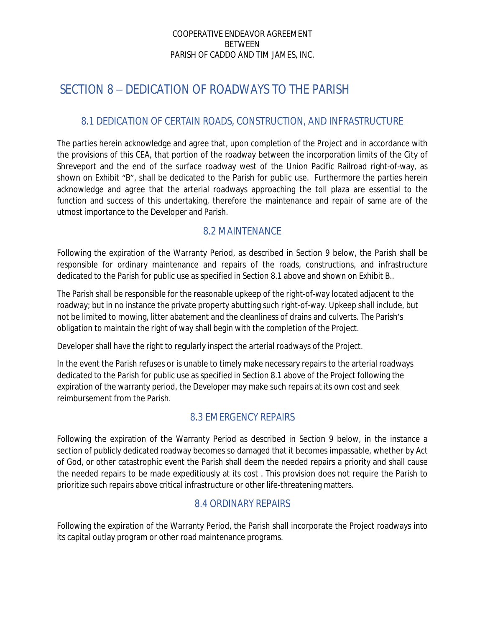# <span id="page-13-0"></span>SECTION 8 – DEDICATION OF ROADWAYS TO THE PARISH

## <span id="page-13-1"></span>8.1 DEDICATION OF CERTAIN ROADS, CONSTRUCTION, AND INFRASTRUCTURE

The parties herein acknowledge and agree that, upon completion of the Project and in accordance with the provisions of this CEA, that portion of the roadway between the incorporation limits of the City of Shreveport and the end of the surface roadway west of the Union Pacific Railroad right-of-way, as shown on Exhibit "B", shall be dedicated to the Parish for public use. Furthermore the parties herein acknowledge and agree that the arterial roadways approaching the toll plaza are essential to the function and success of this undertaking, therefore the maintenance and repair of same are of the utmost importance to the Developer and Parish.

### <span id="page-13-2"></span>8.2 MAINTENANCE

Following the expiration of the Warranty Period, as described in Section 9 below, the Parish shall be responsible for ordinary maintenance and repairs of the roads, constructions, and infrastructure dedicated to the Parish for public use as specified in Section 8.1 above and shown on Exhibit B..

The Parish shall be responsible for the reasonable upkeep of the right-of-way located adjacent to the roadway; but in no instance the private property abutting such right-of-way. Upkeep shall include, but not be limited to mowing, litter abatement and the cleanliness of drains and culverts. The Parish's obligation to maintain the right of way shall begin with the completion of the Project.

Developer shall have the right to regularly inspect the arterial roadways of the Project.

In the event the Parish refuses or is unable to timely make necessary repairs to the arterial roadways dedicated to the Parish for public use as specified in Section 8.1 above of the Project following the expiration of the warranty period, the Developer may make such repairs at its own cost and seek reimbursement from the Parish.

## <span id="page-13-3"></span>8.3 EMERGENCY REPAIRS

Following the expiration of the Warranty Period as described in Section 9 below, in the instance a section of publicly dedicated roadway becomes so damaged that it becomes impassable, whether by Act of God, or other catastrophic event the Parish shall deem the needed repairs a priority and shall cause the needed repairs to be made expeditiously at its cost . This provision does not require the Parish to prioritize such repairs above critical infrastructure or other life-threatening matters.

## <span id="page-13-4"></span>8.4 ORDINARY REPAIRS

Following the expiration of the Warranty Period, the Parish shall incorporate the Project roadways into its capital outlay program or other road maintenance programs.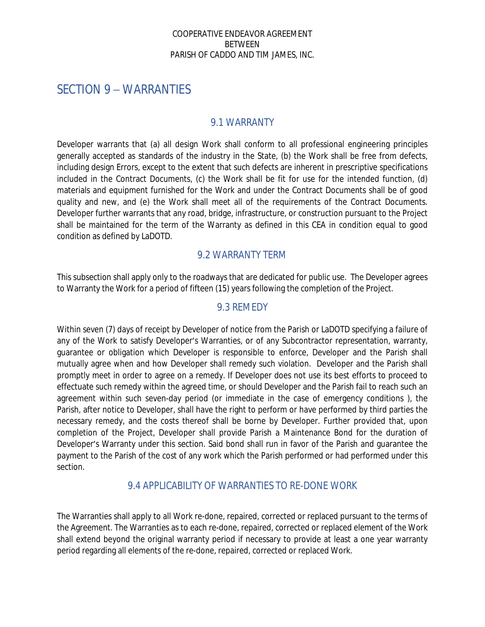# <span id="page-14-0"></span>SECTION 9 – WARRANTIES

#### <span id="page-14-1"></span>9.1 WARRANTY

Developer warrants that (a) all design Work shall conform to all professional engineering principles generally accepted as standards of the industry in the State, (b) the Work shall be free from defects, including design Errors, except to the extent that such defects are inherent in prescriptive specifications included in the Contract Documents, (c) the Work shall be fit for use for the intended function, (d) materials and equipment furnished for the Work and under the Contract Documents shall be of good quality and new, and (e) the Work shall meet all of the requirements of the Contract Documents. Developer further warrants that any road, bridge, infrastructure, or construction pursuant to the Project shall be maintained for the term of the Warranty as defined in this CEA in condition equal to good condition as defined by LaDOTD.

### <span id="page-14-2"></span>9.2 WARRANTY TERM

This subsection shall apply only to the roadways that are dedicated for public use. The Developer agrees to Warranty the Work for a period of fifteen (15) years following the completion of the Project.

#### <span id="page-14-3"></span>9.3 REMEDY

Within seven (7) days of receipt by Developer of notice from the Parish or LaDOTD specifying a failure of any of the Work to satisfy Developer's Warranties, or of any Subcontractor representation, warranty, guarantee or obligation which Developer is responsible to enforce, Developer and the Parish shall mutually agree when and how Developer shall remedy such violation. Developer and the Parish shall promptly meet in order to agree on a remedy. If Developer does not use its best efforts to proceed to effectuate such remedy within the agreed time, or should Developer and the Parish fail to reach such an agreement within such seven-day period (or immediate in the case of emergency conditions ), the Parish, after notice to Developer, shall have the right to perform or have performed by third parties the necessary remedy, and the costs thereof shall be borne by Developer. Further provided that, upon completion of the Project, Developer shall provide Parish a Maintenance Bond for the duration of Developer's Warranty under this section. Said bond shall run in favor of the Parish and guarantee the payment to the Parish of the cost of any work which the Parish performed or had performed under this section.

#### <span id="page-14-4"></span>9.4 APPLICABILITY OF WARRANTIES TO RE-DONE WORK

The Warranties shall apply to all Work re-done, repaired, corrected or replaced pursuant to the terms of the Agreement. The Warranties as to each re-done, repaired, corrected or replaced element of the Work shall extend beyond the original warranty period if necessary to provide at least a one year warranty period regarding all elements of the re-done, repaired, corrected or replaced Work.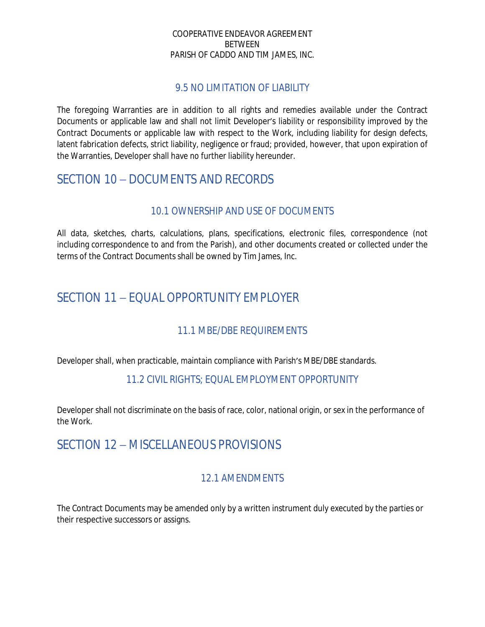#### <span id="page-15-0"></span>9.5 NO LIMITATION OF LIABILITY

The foregoing Warranties are in addition to all rights and remedies available under the Contract Documents or applicable law and shall not limit Developer's liability or responsibility improved by the Contract Documents or applicable law with respect to the Work, including liability for design defects, latent fabrication defects, strict liability, negligence or fraud; provided, however, that upon expiration of the Warranties, Developer shall have no further liability hereunder.

# <span id="page-15-1"></span>SECTION 10 – DOCUMENTS AND RECORDS

### <span id="page-15-2"></span>10.1 OWNERSHIP AND USE OF DOCUMENTS

All data, sketches, charts, calculations, plans, specifications, electronic files, correspondence (not including correspondence to and from the Parish), and other documents created or collected under the terms of the Contract Documents shall be owned by Tim James, Inc.

# <span id="page-15-3"></span>SECTION 11 - FOUAL OPPORTUNITY EMPLOYER

## <span id="page-15-4"></span>11.1 MBE/DBE REQUIREMENTS

Developer shall, when practicable, maintain compliance with Parish's MBE/DBE standards.

### <span id="page-15-5"></span>11.2 CIVIL RIGHTS; EQUAL EMPLOYMENT OPPORTUNITY

Developer shall not discriminate on the basis of race, color, national origin, or sex in the performance of the Work.

# <span id="page-15-6"></span>SECTION 12 – MISCELLANEOUS PROVISIONS

## <span id="page-15-7"></span>12.1 AMENDMENTS

The Contract Documents may be amended only by a written instrument duly executed by the parties or their respective successors or assigns.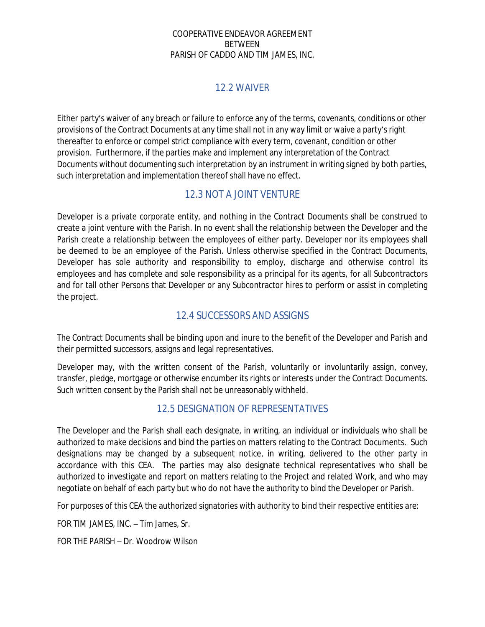### <span id="page-16-0"></span>12.2 WAIVER

Either party's waiver of any breach or failure to enforce any of the terms, covenants, conditions or other provisions of the Contract Documents at any time shall not in any way limit or waive a party's right thereafter to enforce or compel strict compliance with every term, covenant, condition or other provision. Furthermore, if the parties make and implement any interpretation of the Contract Documents without documenting such interpretation by an instrument in writing signed by both parties, such interpretation and implementation thereof shall have no effect.

### <span id="page-16-1"></span>12.3 NOT A JOINT VENTURE

Developer is a private corporate entity, and nothing in the Contract Documents shall be construed to create a joint venture with the Parish. In no event shall the relationship between the Developer and the Parish create a relationship between the employees of either party. Developer nor its employees shall be deemed to be an employee of the Parish. Unless otherwise specified in the Contract Documents, Developer has sole authority and responsibility to employ, discharge and otherwise control its employees and has complete and sole responsibility as a principal for its agents, for all Subcontractors and for tall other Persons that Developer or any Subcontractor hires to perform or assist in completing the project.

## <span id="page-16-2"></span>12.4 SUCCESSORS AND ASSIGNS

The Contract Documents shall be binding upon and inure to the benefit of the Developer and Parish and their permitted successors, assigns and legal representatives.

Developer may, with the written consent of the Parish, voluntarily or involuntarily assign, convey, transfer, pledge, mortgage or otherwise encumber its rights or interests under the Contract Documents. Such written consent by the Parish shall not be unreasonably withheld.

## <span id="page-16-3"></span>12.5 DESIGNATION OF REPRESENTATIVES

The Developer and the Parish shall each designate, in writing, an individual or individuals who shall be authorized to make decisions and bind the parties on matters relating to the Contract Documents. Such designations may be changed by a subsequent notice, in writing, delivered to the other party in accordance with this CEA. The parties may also designate technical representatives who shall be authorized to investigate and report on matters relating to the Project and related Work, and who may negotiate on behalf of each party but who do not have the authority to bind the Developer or Parish.

For purposes of this CEA the authorized signatories with authority to bind their respective entities are:

FOR TIM JAMES, INC. – Tim James, Sr.

FOR THE PARISH – Dr. Woodrow Wilson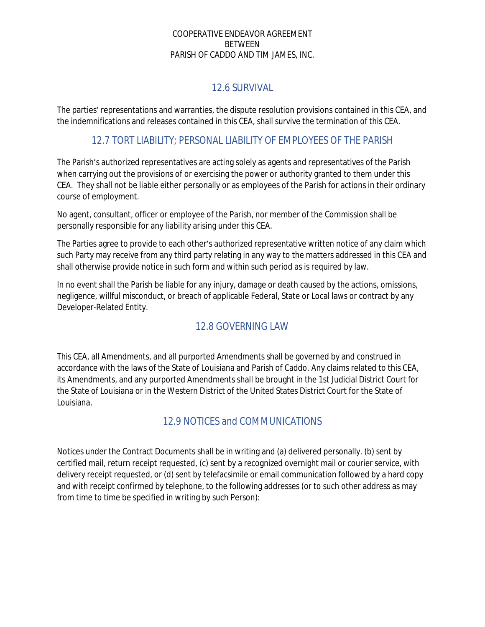# <span id="page-17-0"></span>12.6 SURVIVAL

The parties' representations and warranties, the dispute resolution provisions contained in this CEA, and the indemnifications and releases contained in this CEA, shall survive the termination of this CEA.

### <span id="page-17-1"></span>12.7 TORT LIABILITY; PERSONAL LIABILITY OF EMPLOYEES OF THE PARISH

The Parish's authorized representatives are acting solely as agents and representatives of the Parish when carrying out the provisions of or exercising the power or authority granted to them under this CEA. They shall not be liable either personally or as employees of the Parish for actions in their ordinary course of employment.

No agent, consultant, officer or employee of the Parish, nor member of the Commission shall be personally responsible for any liability arising under this CEA.

The Parties agree to provide to each other's authorized representative written notice of any claim which such Party may receive from any third party relating in any way to the matters addressed in this CEA and shall otherwise provide notice in such form and within such period as is required by law.

In no event shall the Parish be liable for any injury, damage or death caused by the actions, omissions, negligence, willful misconduct, or breach of applicable Federal, State or Local laws or contract by any Developer-Related Entity.

# <span id="page-17-2"></span>12.8 GOVERNING LAW

This CEA, all Amendments, and all purported Amendments shall be governed by and construed in accordance with the laws of the State of Louisiana and Parish of Caddo. Any claims related to this CEA, its Amendments, and any purported Amendments shall be brought in the 1st Judicial District Court for the State of Louisiana or in the Western District of the United States District Court for the State of Louisiana.

# <span id="page-17-3"></span>12.9 NOTICES and COMMUNICATIONS

Notices under the Contract Documents shall be in writing and (a) delivered personally. (b) sent by certified mail, return receipt requested, (c) sent by a recognized overnight mail or courier service, with delivery receipt requested, or (d) sent by telefacsimile or email communication followed by a hard copy and with receipt confirmed by telephone, to the following addresses (or to such other address as may from time to time be specified in writing by such Person):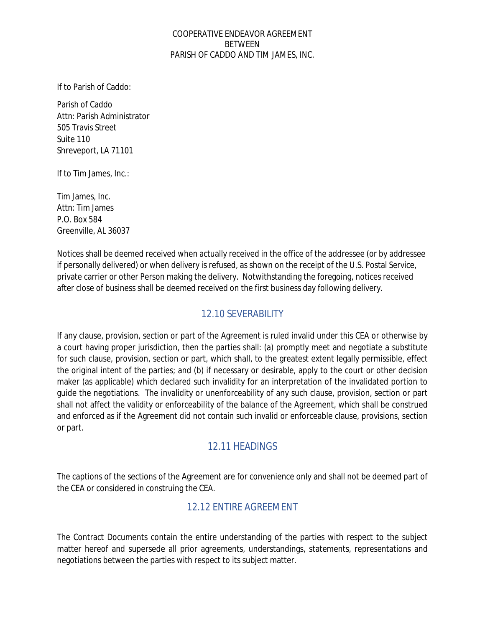If to Parish of Caddo:

Parish of Caddo Attn: Parish Administrator 505 Travis Street Suite 110 Shreveport, LA 71101

If to Tim James, Inc.:

Tim James, Inc. Attn: Tim James P.O. Box 584 Greenville, AL 36037

Notices shall be deemed received when actually received in the office of the addressee (or by addressee if personally delivered) or when delivery is refused, as shown on the receipt of the U.S. Postal Service, private carrier or other Person making the delivery. Notwithstanding the foregoing, notices received after close of business shall be deemed received on the first business day following delivery.

### <span id="page-18-0"></span>12.10 SEVERABILITY

If any clause, provision, section or part of the Agreement is ruled invalid under this CEA or otherwise by a court having proper jurisdiction, then the parties shall: (a) promptly meet and negotiate a substitute for such clause, provision, section or part, which shall, to the greatest extent legally permissible, effect the original intent of the parties; and (b) if necessary or desirable, apply to the court or other decision maker (as applicable) which declared such invalidity for an interpretation of the invalidated portion to guide the negotiations. The invalidity or unenforceability of any such clause, provision, section or part shall not affect the validity or enforceability of the balance of the Agreement, which shall be construed and enforced as if the Agreement did not contain such invalid or enforceable clause, provisions, section or part.

### <span id="page-18-1"></span>12.11 HEADINGS

The captions of the sections of the Agreement are for convenience only and shall not be deemed part of the CEA or considered in construing the CEA.

### <span id="page-18-2"></span>12.12 ENTIRE AGREEMENT

The Contract Documents contain the entire understanding of the parties with respect to the subject matter hereof and supersede all prior agreements, understandings, statements, representations and negotiations between the parties with respect to its subject matter.